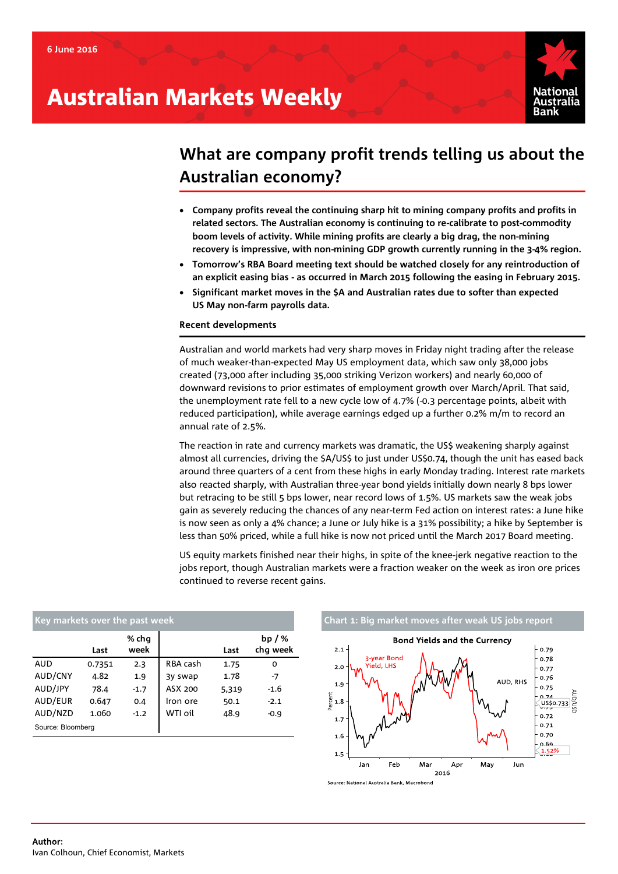# Australian Markets Weekly



## **What are company profit trends telling us about the Australian economy?**

- **Company profits reveal the continuing sharp hit to mining company profits and profits in related sectors. The Australian economy is continuing to re-calibrate to post-commodity boom levels of activity. While mining profits are clearly a big drag, the non-mining recovery is impressive, with non-mining GDP growth currently running in the 3-4% region.**
- **Tomorrow's RBA Board meeting text should be watched closely for any reintroduction of an explicit easing bias - as occurred in March 2015 following the easing in February 2015.**
- **Significant market moves in the \$A and Australian rates due to softer than expected US May non-farm payrolls data.**

## Recent developments

Australian and world markets had very sharp moves in Friday night trading after the release of much weaker-than-expected May US employment data, which saw only 38,000 jobs created (73,000 after including 35,000 striking Verizon workers) and nearly 60,000 of downward revisions to prior estimates of employment growth over March/April. That said, the unemployment rate fell to a new cycle low of 4.7% (-0.3 percentage points, albeit with reduced participation), while average earnings edged up a further 0.2% m/m to record an annual rate of 2.5%.

The reaction in rate and currency markets was dramatic, the US\$ weakening sharply against almost all currencies, driving the \$A/US\$ to just under US\$0.74, though the unit has eased back around three quarters of a cent from these highs in early Monday trading. Interest rate markets also reacted sharply, with Australian three-year bond yields initially down nearly 8 bps lower but retracing to be still 5 bps lower, near record lows of 1.5%. US markets saw the weak jobs gain as severely reducing the chances of any near-term Fed action on interest rates: a June hike is now seen as only a 4% chance; a June or July hike is a 31% possibility; a hike by September is less than 50% priced, while a full hike is now not priced until the March 2017 Board meeting.

US equity markets finished near their highs, in spite of the knee-jerk negative reaction to the jobs report, though Australian markets were a fraction weaker on the week as iron ore prices continued to reverse recent gains.

| Key markets over the past week |        |               |          |       |                     |  |  |  |  |  |
|--------------------------------|--------|---------------|----------|-------|---------------------|--|--|--|--|--|
|                                | Last   | % chq<br>week |          | Last  | $bp/$ %<br>chg week |  |  |  |  |  |
| AUD                            | 0.7351 | 2.3           | RBA cash | 1.75  | 0                   |  |  |  |  |  |
| AUD/CNY                        | 4.82   | 1.9           | 3y swap  | 1.78  | -7                  |  |  |  |  |  |
| AUD/JPY                        | 78.4   | $-1.7$        | ASX 200  | 5,319 | $-1.6$              |  |  |  |  |  |
| AUD/EUR                        | 0.647  | 0.4           | Iron ore | 50.1  | $-2.1$              |  |  |  |  |  |
| AUD/NZD                        | 1.060  | $-1.2$        | WTI oil  | 48.9  | $-0.9$              |  |  |  |  |  |
| Source: Bloomberg              |        |               |          |       |                     |  |  |  |  |  |

# **Khart 1: Big market moves after weak US jobs report**

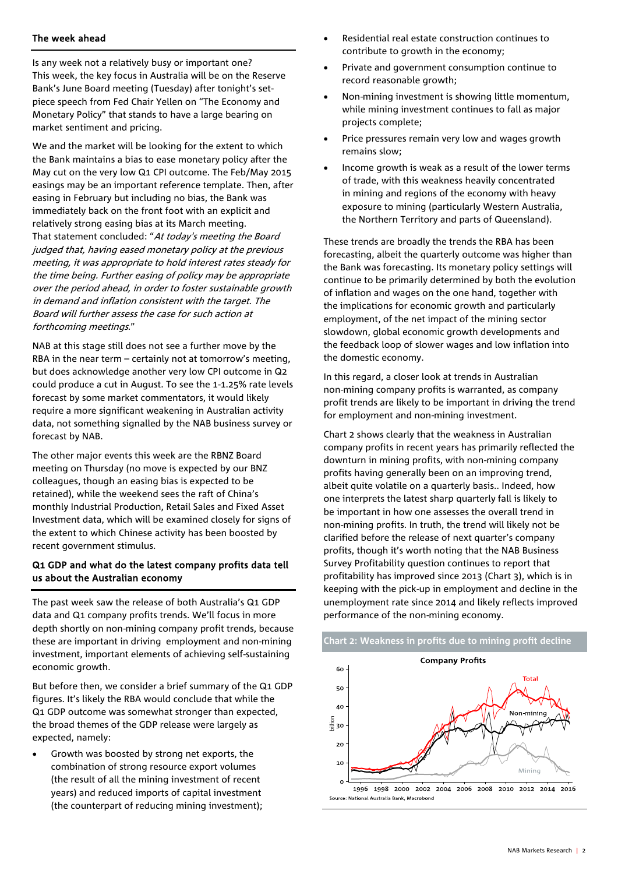## The week ahead

Is any week not a relatively busy or important one? This week, the key focus in Australia will be on the Reserve Bank's June Board meeting (Tuesday) after tonight's setpiece speech from Fed Chair Yellen on "The Economy and Monetary Policy" that stands to have a large bearing on market sentiment and pricing.

We and the market will be looking for the extent to which the Bank maintains a bias to ease monetary policy after the May cut on the very low Q1 CPI outcome. The Feb/May 2015 easings may be an important reference template. Then, after easing in February but including no bias, the Bank was immediately back on the front foot with an explicit and relatively strong easing bias at its March meeting. That statement concluded: "At today's meeting the Board judged that, having eased monetary policy at the previous meeting, it was appropriate to hold interest rates steady for the time being. Further easing of policy may be appropriate over the period ahead, in order to foster sustainable growth in demand and inflation consistent with the target. The Board will further assess the case for such action at forthcoming meetings."

NAB at this stage still does not see a further move by the RBA in the near term – certainly not at tomorrow's meeting, but does acknowledge another very low CPI outcome in Q2 could produce a cut in August. To see the 1-1.25% rate levels forecast by some market commentators, it would likely require a more significant weakening in Australian activity data, not something signalled by the NAB business survey or forecast by NAB.

The other major events this week are the RBNZ Board meeting on Thursday (no move is expected by our BNZ colleagues, though an easing bias is expected to be retained), while the weekend sees the raft of China's monthly Industrial Production, Retail Sales and Fixed Asset Investment data, which will be examined closely for signs of the extent to which Chinese activity has been boosted by recent government stimulus.

## Q1 GDP and what do the latest company profits data tell us about the Australian economy

The past week saw the release of both Australia's Q1 GDP data and Q1 company profits trends. We'll focus in more depth shortly on non-mining company profit trends, because these are important in driving employment and non-mining investment, important elements of achieving self-sustaining economic arowth.

But before then, we consider a brief summary of the Q1 GDP figures. It's likely the RBA would conclude that while the Q1 GDP outcome was somewhat stronger than expected, the broad themes of the GDP release were largely as expected, namely:

• Growth was boosted by strong net exports, the combination of strong resource export volumes (the result of all the mining investment of recent years) and reduced imports of capital investment (the counterpart of reducing mining investment);

- Residential real estate construction continues to contribute to growth in the economy;
- Private and government consumption continue to record reasonable growth;
- Non-mining investment is showing little momentum, while mining investment continues to fall as major projects complete;
- Price pressures remain very low and wages growth remains slow;
- Income growth is weak as a result of the lower terms of trade, with this weakness heavily concentrated in mining and regions of the economy with heavy exposure to mining (particularly Western Australia, the Northern Territory and parts of Queensland).

These trends are broadly the trends the RBA has been forecasting, albeit the quarterly outcome was higher than the Bank was forecasting. Its monetary policy settings will continue to be primarily determined by both the evolution of inflation and wages on the one hand, together with the implications for economic growth and particularly employment, of the net impact of the mining sector slowdown, global economic growth developments and the feedback loop of slower wages and low inflation into the domestic economy.

In this regard, a closer look at trends in Australian non-mining company profits is warranted, as company profit trends are likely to be important in driving the trend for employment and non-mining investment.

Chart 2 shows clearly that the weakness in Australian company profits in recent years has primarily reflected the downturn in mining profits, with non-mining company profits having generally been on an improving trend, albeit quite volatile on a quarterly basis.. Indeed, how one interprets the latest sharp quarterly fall is likely to be important in how one assesses the overall trend in non-mining profits. In truth, the trend will likely not be clarified before the release of next quarter's company profits, though it's worth noting that the NAB Business Survey Profitability question continues to report that profitability has improved since 2013 (Chart 3), which is in keeping with the pick-up in employment and decline in the unemployment rate since 2014 and likely reflects improved performance of the non-mining economy.

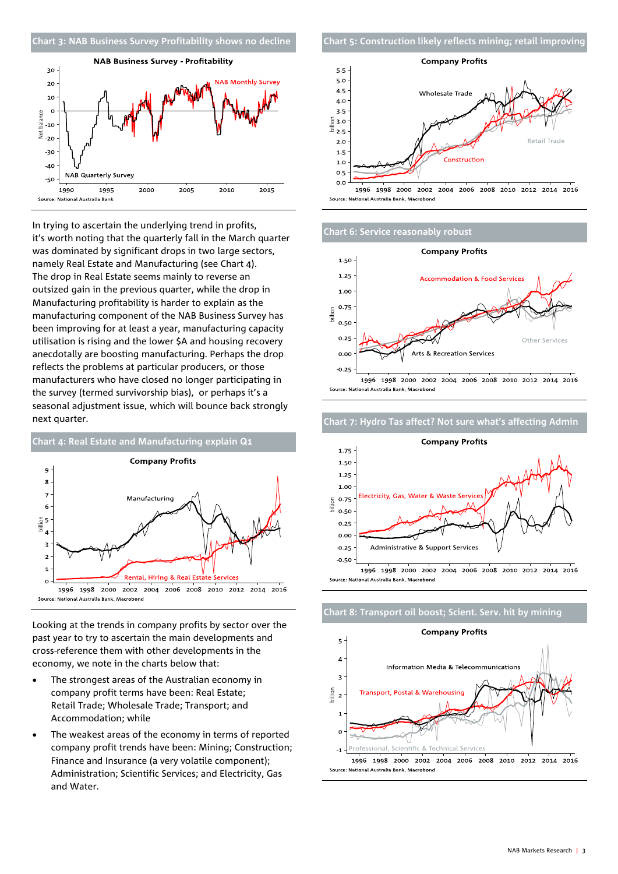



In trying to ascertain the underlying trend in profits, it's worth noting that the quarterly fall in the March quarter was dominated by significant drops in two large sectors, namely Real Estate and Manufacturing (see Chart 4). The drop in Real Estate seems mainly to reverse an outsized gain in the previous quarter, while the drop in Manufacturing profitability is harder to explain as the manufacturing component of the NAB Business Survey has been improving for at least a year, manufacturing capacity utilisation is rising and the lower \$A and housing recovery anecdotally are boosting manufacturing. Perhaps the drop reflects the problems at particular producers, or those manufacturers who have closed no longer participating in the survey (termed survivorship bias), or perhaps it's a seasonal adjustment issue, which will bounce back strongly next quarter.



Looking at the trends in company profits by sector over the past year to try to ascertain the main developments and cross-reference them with other developments in the economy, we note in the charts below that:

- The strongest areas of the Australian economy in company profit terms have been: Real Estate; Retail Trade; Wholesale Trade; Transport; and Accommodation; while
- The weakest areas of the economy in terms of reported company profit trends have been: Mining; Construction; Finance and Insurance (a very volatile component); Administration; Scientific Services; and Electricity, Gas and Water.





### **Chart 6: Service reasonably robust**





#### **Chart 7: Hydro Tas affect? Not sure what's affecting Admin**

**Chart 8: Transport oil boost; Scient. Serv. hit by mining**

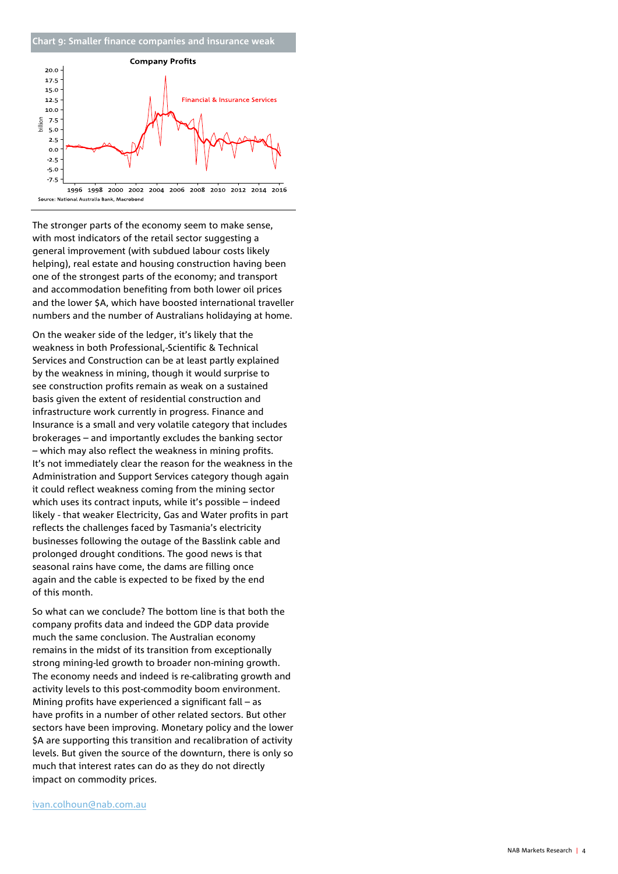### **Chart 9: Smaller finance companies and insurance weak**



The stronger parts of the economy seem to make sense, with most indicators of the retail sector suggesting a general improvement (with subdued labour costs likely helping), real estate and housing construction having been one of the strongest parts of the economy; and transport and accommodation benefiting from both lower oil prices and the lower \$A, which have boosted international traveller numbers and the number of Australians holidaying at home.

On the weaker side of the ledger, it's likely that the weakness in both Professional,-Scientific & Technical Services and Construction can be at least partly explained by the weakness in mining, though it would surprise to see construction profits remain as weak on a sustained basis given the extent of residential construction and infrastructure work currently in progress. Finance and Insurance is a small and very volatile category that includes brokerages – and importantly excludes the banking sector – which may also reflect the weakness in mining profits. It's not immediately clear the reason for the weakness in the Administration and Support Services category though again it could reflect weakness coming from the mining sector which uses its contract inputs, while it's possible – indeed likely - that weaker Electricity, Gas and Water profits in part reflects the challenges faced by Tasmania's electricity businesses following the outage of the Basslink cable and prolonged drought conditions. The good news is that seasonal rains have come, the dams are filling once again and the cable is expected to be fixed by the end of this month.

So what can we conclude? The bottom line is that both the company profits data and indeed the GDP data provide much the same conclusion. The Australian economy remains in the midst of its transition from exceptionally strong mining-led growth to broader non-mining growth. The economy needs and indeed is re-calibrating growth and activity levels to this post-commodity boom environment. Mining profits have experienced a significant fall – as have profits in a number of other related sectors. But other sectors have been improving. Monetary policy and the lower \$A are supporting this transition and recalibration of activity levels. But given the source of the downturn, there is only so much that interest rates can do as they do not directly impact on commodity prices.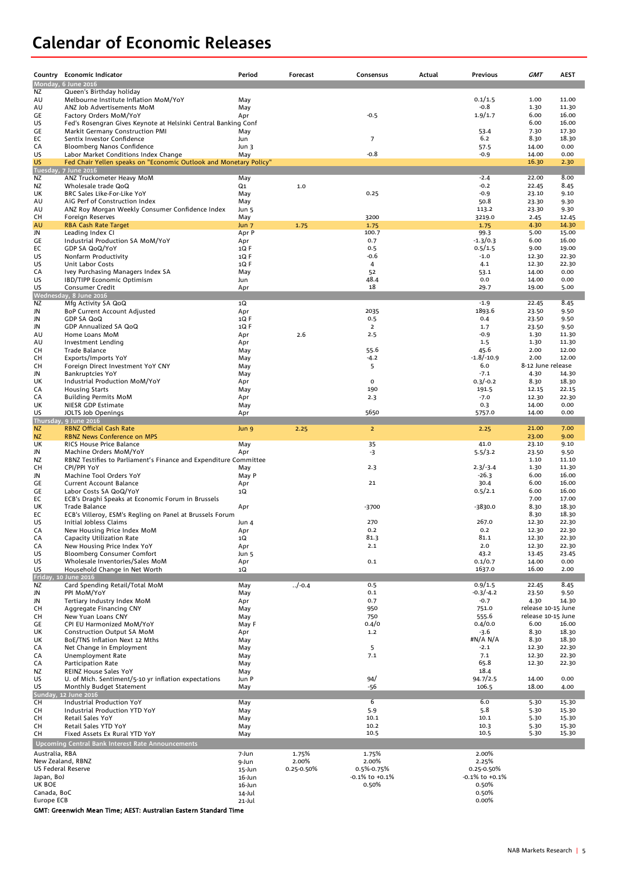## **Calendar of Economic Releases**

|                                     | Country Economic Indicator                                                                 | Period                    | Forecast       | Consensus      | Actual | Previous             | <b>GMT</b>                 | <b>AEST</b>    |
|-------------------------------------|--------------------------------------------------------------------------------------------|---------------------------|----------------|----------------|--------|----------------------|----------------------------|----------------|
|                                     | Monday, 6 June 2016                                                                        |                           |                |                |        |                      |                            |                |
| NZ                                  | Queen's Birthday holiday                                                                   |                           |                |                |        |                      |                            |                |
| AU                                  | Melbourne Institute Inflation MoM/YoY                                                      | May                       |                |                |        | 0.1/1.5              | 1.00                       | 11.00          |
| AU                                  | ANZ Job Advertisements MoM                                                                 | May                       |                |                |        | $-0.8$               | 1.30                       | 11.30          |
| GE<br>US                            | Factory Orders MoM/YoY<br>Fed's Rosengran Gives Keynote at Helsinki Central Banking Conf   | Apr                       |                | $-0.5$         |        | 1.9/1.7              | 6.00<br>6.00               | 16.00<br>16.00 |
| GE                                  | Markit Germany Construction PMI                                                            | May                       |                |                |        | 53.4                 | 7.30                       | 17.30          |
| ЕC                                  | Sentix Investor Confidence                                                                 | Jun                       |                | $\overline{7}$ |        | 6.2                  | 8.30                       | 18.30          |
| СA                                  | Bloomberg Nanos Confidence                                                                 | Jun 3                     |                |                |        | 57.5                 | 14.00                      | 0.00           |
| US                                  | Labor Market Conditions Index Change                                                       | May                       |                | $-0.8$         |        | $-0.9$               | 14.00                      | 0.00           |
| <b>US</b>                           | Fed Chair Yellen speaks on "Economic Outlook and Monetary Policy"                          |                           |                |                |        |                      | 16.30                      | 2.30           |
| <b>NZ</b>                           | Tuesday, 7 June 2016                                                                       |                           |                |                |        | $-2.4$               | 22.00                      | 8.00           |
| <b>NZ</b>                           | ANZ Truckometer Heavy MoM<br>Wholesale trade QoQ                                           | May<br>Q1                 | 1.0            |                |        | $-0.2$               | 22.45                      | 8.45           |
| UK                                  | BRC Sales Like-For-Like YoY                                                                | May                       |                | 0.25           |        | $-0.9$               | 23.10                      | 9.10           |
| AU                                  | AiG Perf of Construction Index                                                             | May                       |                |                |        | 50.8                 | 23.30                      | 9.30           |
| AU                                  | ANZ Roy Morgan Weekly Consumer Confidence Index                                            | Jun 5                     |                |                |        | 113.2                | 23.30                      | 9.30           |
| сн                                  | Foreign Reserves                                                                           | May                       |                | 3200           |        | 3219.0               | 2.45                       | 12.45          |
| AU<br>JN                            | <b>RBA Cash Rate Target</b>                                                                | Jun <sub>7</sub><br>Apr P | 1.75           | 1.75<br>100.7  |        | 1.75<br>99.3         | 4.30<br>5.00               | 14.30<br>15.00 |
| GE                                  | Leading Index CI<br>Industrial Production SA MoM/YoY                                       | Apr                       |                | 0.7            |        | $-1.3/0.3$           | 6.00                       | 16.00          |
| EC                                  | GDP SA QoQ/YoY                                                                             | 1Q F                      |                | 0.5            |        | 0.5/1.5              | 9.00                       | 19.00          |
| US                                  | Nonfarm Productivity                                                                       | $1Q$ F                    |                | -0.6           |        | $-1.0$               | 12.30                      | 22.30          |
| US                                  | Unit Labor Costs                                                                           | $1Q$ F                    |                | 4              |        | 4.1                  | 12.30                      | 22.30          |
| CA                                  | Ivey Purchasing Managers Index SA                                                          | May                       |                | 52             |        | 53.1                 | 14.00                      | 0.00           |
| US                                  | IBD/TIPP Economic Optimism                                                                 | Jun                       |                | 48.4<br>18     |        | 0.0                  | 14.00                      | 0.00           |
| US                                  | Consumer Credit<br>Wednesday, 8 June 2016                                                  | Apr                       |                |                |        | 29.7                 | 19.00                      | 5.00           |
| <b>NZ</b>                           | Mfg Activity SA QoQ                                                                        | 1Q                        |                |                |        | $-1.9$               | 22.45                      | 8.45           |
| JN                                  | <b>BoP Current Account Adjusted</b>                                                        | Apr                       |                | 2035           |        | 1893.6               | 23.50                      | 9.50           |
| JN                                  | <b>GDP SA QoQ</b>                                                                          | $1Q$ F                    |                | 0.5            |        | 0.4                  | 23.50                      | 9.50           |
| JN                                  | GDP Annualized SA QoQ                                                                      | $1Q$ F                    |                | $\overline{2}$ |        | 1.7                  | 23.50                      | 9.50           |
| AU                                  | Home Loans MoM                                                                             | Apr                       | 2.6            | 2.5            |        | $-0.9$               | 1.30                       | 11.30          |
| AU<br>сн                            | Investment Lending<br>Trade Balance                                                        | Apr<br>May                |                | 55.6           |        | 1.5<br>45.6          | 1.30<br>2.00               | 11.30<br>12.00 |
| сн                                  | Exports/Imports YoY                                                                        | May                       |                | $-4.2$         |        | $-1.8/-10.9$         | 2.00                       | 12.00          |
| сн                                  | Foreign Direct Investment YoY CNY                                                          | May                       |                | 5              |        | 6.0                  | 8-12 June release          |                |
| JN                                  | <b>Bankruptcies YoY</b>                                                                    | May                       |                |                |        | $-7.1$               | 4.30                       | 14.30          |
| UK                                  | Industrial Production MoM/YoY                                                              | Apr                       |                | $\mathbf 0$    |        | $0.3/-0.2$           | 8.30                       | 18.30          |
| СA                                  | <b>Housing Starts</b>                                                                      | May                       |                | 190            |        | 191.5                | 12.15                      | 22.15          |
| СA                                  | <b>Building Permits MoM</b>                                                                | Apr                       |                | 2.3            |        | $-7.0$<br>0.3        | 12.30<br>14.00             | 22.30          |
| UK<br>US                            | NIESR GDP Estimate<br>JOLTS Job Openings                                                   | May<br>Apr                |                | 5650           |        | 5757.0               | 14.00                      | 0.00<br>0.00   |
|                                     | Thursday, 9 June 2016                                                                      |                           |                |                |        |                      |                            |                |
| <b>NZ</b>                           | <b>RBNZ Official Cash Rate</b>                                                             | Jun 9                     | 2.25           | $\overline{2}$ |        | 2.25                 | 21.00                      | 7.00           |
| <b>NZ</b>                           | <b>RBNZ News Conference on MPS</b>                                                         |                           |                |                |        |                      | 23.00                      | 9.00           |
| UK                                  | <b>RICS House Price Balance</b>                                                            | May                       |                | 35             |        | 41.0                 | 23.10                      | 9.10           |
| JN<br>NZ                            | Machine Orders MoM/YoY<br>RBNZ Testifies to Parliament's Finance and Expenditure Committee | Apr                       |                | -3             |        | 5.5/3.2              | 23.50<br>1.10              | 9.50<br>11.10  |
| CН                                  | CPI/PPI YoY                                                                                | May                       |                | 2.3            |        | $2.3/-3.4$           | 1.30                       | 11.30          |
| JN                                  | Machine Tool Orders YoY                                                                    | May P                     |                |                |        | $-26.3$              | 6.00                       | 16.00          |
| GE                                  | <b>Current Account Balance</b>                                                             | Apr                       |                | 21             |        | 30.4                 | 6.00                       | 16.00          |
| GE                                  | Labor Costs SA QoQ/YoY                                                                     | 1Q                        |                |                |        | 0.5/2.1              | 6.00                       | 16.00          |
| EC                                  | ECB's Draghi Speaks at Economic Forum in Brussels                                          |                           |                |                |        |                      | 7.00                       | 17.00          |
| UK<br>EC                            | Trade Balance<br>ECB's Villeroy, ESM's Regling on Panel at Brussels Forum                  | Apr                       |                | $-3700$        |        | -3830.0              | 8.30<br>8.30               | 18.30<br>18.30 |
| US                                  | Initial Jobless Claims                                                                     | Jun 4                     |                | 270            |        | 267.0                | 12.30                      | 22.30          |
| CA                                  | New Housing Price Index MoM                                                                | Apr                       |                | 0.2            |        | 0.2                  | 12.30                      | 22.30          |
| CA                                  | Capacity Utilization Rate                                                                  | 1Q                        |                | 81.3           |        | 81.1                 | 12.30                      | 22.30          |
| CA                                  | New Housing Price Index YoY                                                                | Apr                       |                | 2.1            |        | 2.0                  | 12.30                      | 22.30          |
| US                                  | <b>Bloomberg Consumer Comfort</b>                                                          | Jun 5                     |                |                |        | 43.2                 | 13.45                      | 23.45          |
| US<br>US                            | Wholesale Inventories/Sales MoM<br>Household Change in Net Worth                           | Apr<br>1Q                 |                | 0.1            |        | 0.1/0.7<br>1637.0    | 14.00<br>16.00             | 0.00<br>2.00   |
|                                     | Friday, 10 June 2016                                                                       |                           |                |                |        |                      |                            |                |
| <b>NZ</b>                           | Card Spending Retail/Total MoM                                                             | May                       | $./ -0.4$      | 0.5            |        | 0.9/1.5              | 22.45                      | 8.45           |
| JN                                  | PPI MoM/YoY                                                                                | May                       |                | 0.1            |        | $-0.3/-4.2$          | 23.50                      | 9.50           |
| JN                                  | Tertiary Industry Index MoM                                                                | Apr                       |                | 0.7            |        | $-0.7$               | 4.30                       | 14.30          |
| CН                                  | Aggregate Financing CNY                                                                    | May                       |                | 950            |        | 751.0                | release 10-15 June         |                |
| CН<br>GE                            | New Yuan Loans CNY<br>CPI EU Harmonized MoM/YoY                                            | May<br>May F              |                | 750<br>0.4/0   |        | 555.6<br>0.4/0.0     | release 10-15 June<br>6.00 | 16.00          |
| UK                                  | <b>Construction Output SA MoM</b>                                                          | Apr                       |                | $1.2$          |        | $-3.6$               | 8.30                       | 18.30          |
| UK                                  | BoE/TNS Inflation Next 12 Mths                                                             | May                       |                |                |        | #N/A N/A             | 8.30                       | 18.30          |
| СA                                  | Net Change in Employment                                                                   | May                       |                | 5              |        | $-2.1$               | 12.30                      | 22.30          |
| СA                                  | Unemployment Rate                                                                          | May                       |                | 7.1            |        | 7.1                  | 12.30                      | 22.30          |
| CA                                  | Participation Rate                                                                         | May                       |                |                |        | 65.8                 | 12.30                      | 22.30          |
| ΝZ<br>US                            | <b>REINZ House Sales YoY</b><br>U. of Mich. Sentiment/5-10 yr inflation expectations       | May<br>Jun P              |                | 94/            |        | 18.4<br>94.7/2.5     | 14.00                      | 0.00           |
| US                                  | Monthly Budget Statement                                                                   | May                       |                | -56            |        | 106.5                | 18.00                      | 4.00           |
| Sunday,                             | 12 June 2016                                                                               |                           |                |                |        |                      |                            |                |
| CН                                  | Industrial Production YoY                                                                  | May                       |                | 6              |        | 6.0                  | 5.30                       | 15.30          |
| сн                                  | Industrial Production YTD YoY                                                              | May                       |                | 5.9            |        | 5.8                  | 5.30                       | 15.30          |
| сн                                  | Retail Sales YoY                                                                           | May                       |                | 10.1           |        | 10.1                 | 5.30                       | 15.30          |
| CН<br>сн                            | Retail Sales YTD YoY<br>Fixed Assets Ex Rural YTD YoY                                      | May<br>May                |                | 10.2<br>10.5   |        | 10.3<br>10.5         | 5.30<br>5.30               | 15.30<br>15.30 |
|                                     | Upcoming Central Bank Interest Rate Announcements                                          |                           |                |                |        |                      |                            |                |
|                                     |                                                                                            |                           |                |                |        |                      |                            |                |
| Australia, RBA<br>New Zealand, RBNZ |                                                                                            | 7-Jun                     | 1.75%<br>2.00% | 1.75%<br>2.00% |        | 2.00%<br>2.25%       |                            |                |
| US Federal Reserve                  |                                                                                            | 9-Jun<br>15-Jun           | 0.25-0.50%     | 0.5%-0.75%     |        | 0.25-0.50%           |                            |                |
| Japan, BoJ                          |                                                                                            | 16-Jun                    |                | -0.1% to +0.1% |        | $-0.1\%$ to $+0.1\%$ |                            |                |
| UK BOE                              |                                                                                            | 16-Jun                    |                | 0.50%          |        | 0.50%                |                            |                |
| Canada, BoC                         |                                                                                            | 14-Jul                    |                |                |        | 0.50%                |                            |                |
| Europe ECB                          |                                                                                            | 21-Jul                    |                |                |        | 0.00%                |                            |                |

GMT: Greenwich Mean Time; AEST: Australian Eastern Standard Time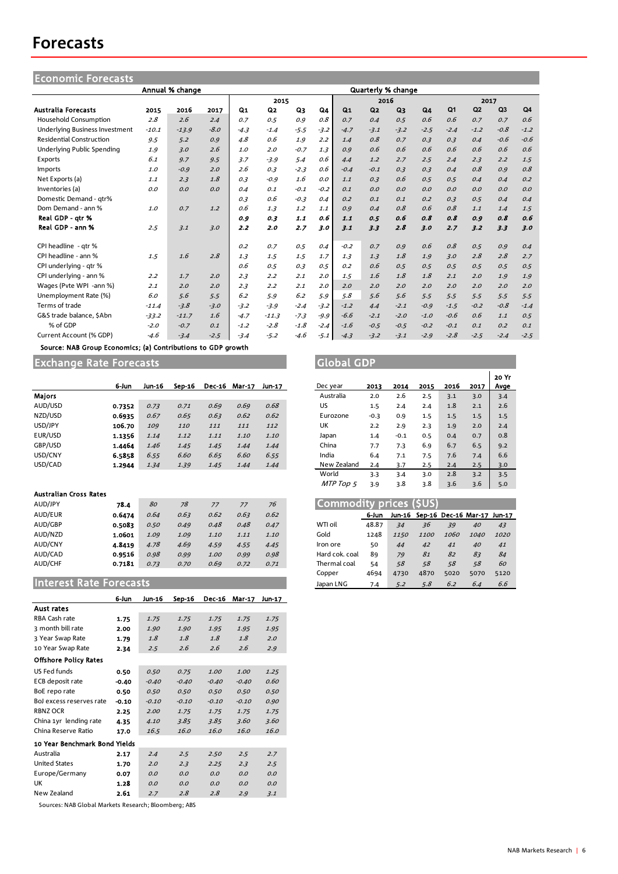## **Forecasts**

| <b>Economic Forecasts</b>             |         |                 |        |        |         |        |        |                |                           |        |        |                |        |                |        |
|---------------------------------------|---------|-----------------|--------|--------|---------|--------|--------|----------------|---------------------------|--------|--------|----------------|--------|----------------|--------|
|                                       |         | Annual % change |        |        |         |        |        |                | <b>Quarterly % change</b> |        |        |                |        |                |        |
|                                       |         |                 |        |        | 2015    |        |        | 2016           |                           |        |        | 2017           |        |                |        |
| <b>Australia Forecasts</b>            | 2015    | 2016            | 2017   | Q1     | Q2      | Q3     | Q4     | Q <sub>1</sub> | Q <sub>2</sub>            | $Q_3$  | Q4     | Q <sub>1</sub> | Q2     | Q <sub>3</sub> | Q4     |
| <b>Household Consumption</b>          | 2.8     | 2.6             | 2.4    | 0.7    | 0.5     | 0.9    | 0.8    | 0.7            | 0.4                       | 0.5    | 0.6    | 0.6            | 0.7    | 0.7            | 0.6    |
| <b>Underlying Business Investment</b> | $-10.1$ | $-13.9$         | $-8.0$ | $-4.3$ | $-1.4$  | $-5.5$ | $-3.2$ | $-4.7$         | $-3.1$                    | $-3.2$ | $-2.5$ | $-2.4$         | $-1.2$ | $-0.8$         | $-1.2$ |
| <b>Residential Construction</b>       | 9.5     | 5.2             | 0.9    | 4.8    | 0.6     | 1.9    | 2.2    | 1.4            | 0.8                       | 0.7    | 0.3    | 0.3            | 0.4    | $-0.6$         | $-0.6$ |
| Underlying Public Spending            | 1.9     | 3.0             | 2.6    | 1.0    | 2.0     | $-0.7$ | 1.3    | 0.9            | 0.6                       | 0.6    | 0.6    | 0.6            | 0.6    | 0.6            | 0.6    |
| Exports                               | 6.1     | 9.7             | 9.5    | 3.7    | $-3.9$  | 5.4    | 0.6    | 4.4            | 1.2                       | 2.7    | 2.5    | 2.4            | 2.3    | 2.2            | 1.5    |
| Imports                               | 1.0     | $-0.9$          | 2.0    | 2.6    | 0.3     | $-2.3$ | 0.6    | $-0.4$         | $-0.1$                    | 0.3    | 0.3    | 0.4            | 0.8    | 0.9            | 0.8    |
| Net Exports (a)                       | 1.1     | 2.3             | 1.8    | 0.3    | $-0.9$  | 1.6    | O.O    | 1.1            | 0.3                       | 0.6    | 0.5    | 0.5            | 0.4    | 0.4            | 0.2    |
| Inventories (a)                       | O.O     | 0.0             | 0.0    | 0.4    | 0.1     | $-0.1$ | $-0.2$ | 0.1            | O.O                       | 0.0    | O.O    | O.O            | O.O    | 0.0            | O.O    |
| Domestic Demand - qtr%                |         |                 |        | 0.3    | 0.6     | $-0.3$ | 0.4    | 0.2            | 0.1                       | 0.1    | 0.2    | 0.3            | 0.5    | 0.4            | 0.4    |
| Dom Demand - ann %                    | 1.0     | 0.7             | 1.2    | 0.6    | 1.3     | 1.2    | 1.1    | 0.9            | 0.4                       | 0.8    | 0.6    | 0.8            | 1.1    | 1.4            | 1.5    |
| Real GDP - atr %                      |         |                 |        | 0.9    | 0.3     | 1.1    | 0.6    | 1.1            | 0.5                       | 0.6    | 0.8    | 0.8            | 0.9    | 0.8            | 0.6    |
| Real GDP - ann %                      | 2.5     | 3.1             | 3.0    | 2.2    | 2.0     | 2.7    | 3.0    | 3.1            | 3.3                       | 2.8    | 3.0    | 2.7            | 3.2    | 3.3            | 3.0    |
| CPI headline - qtr %                  |         |                 |        | O.2    | 0.7     | 0.5    | 0.4    | $-0.2$         | 0.7                       | 0.9    | 0.6    | 0.8            | 0.5    | 0.9            | 0.4    |
| CPI headline - ann %                  | 1.5     | 1.6             | 2.8    | 1.3    | 1.5     | 1.5    | 1.7    | 1.3            | 1.3                       | 1.8    | 1.9    | 3.0            | 2.8    | 2.8            | 2.7    |
| CPI underlying - gtr %                |         |                 |        | 0.6    | 0.5     | 0.3    | 0.5    | O.2            | 0.6                       | 0.5    | 0.5    | 0.5            | 0.5    | 0.5            | 0.5    |
| CPI underlying - ann %                | 2.2     | 1.7             | 2.0    | 2.3    | 2.2     | 2.1    | 2.0    | 1.5            | 1.6                       | 1.8    | 1.8    | 2.1            | 2.0    | 1.9            | 1.9    |
| Wages (Pyte WPI -ann %)               | 2.1     | 2.0             | 2.0    | 2.3    | 2.2     | 2.1    | 2.0    | 2.0            | 2.0                       | 2.0    | 2.0    | 2.0            | 2.0    | 2.0            | 2.0    |
| Unemployment Rate (%)                 | 6.0     | 5.6             | 5.5    | 6.2    | 5.9     | 6.2    | 5.9    | 5.8            | 5.6                       | 5.6    | 5.5    | 5.5            | 5.5    | 5.5            | 5.5    |
| Terms of trade                        | $-11.4$ | $-3.8$          | $-3.0$ | $-3.2$ | $-3.9$  | $-2.4$ | $-3.2$ | $-1.2$         | 4.4                       | $-2.1$ | $-0.9$ | $-1.5$         | $-0.2$ | $-0.8$         | $-1.4$ |
| G&S trade balance. SAbn               | $-33.2$ | $-11.7$         | 1.6    | $-4.7$ | $-11.3$ | $-7.3$ | $-9.9$ | $-6.6$         | $-2.1$                    | $-2.0$ | $-1.0$ | $-0.6$         | 0.6    | 1.1            | 0.5    |
| % of GDP                              | $-2.0$  | $-0.7$          | 0.1    | $-1.2$ | $-2.8$  | $-1.8$ | $-2.4$ | $-1.6$         | $-0.5$                    | $-0.5$ | $-0.2$ | $-0.1$         | 0.1    | 0.2            | 0.1    |
| Current Account (% GDP)               | $-4.6$  | $-3.4$          | $-2.5$ | $-3.4$ | $-5.2$  | $-4.6$ | $-5.1$ | $-4.3$         | $-3.2$                    | $-3.1$ | $-2.9$ | $-2.8$         | $-2.5$ | $-2.4$         | $-2.5$ |

Source: NAB Group Economics; (a) Contributions to GDP growth

Exchange Rate Forecasts Global GDP

|               | 6-Jun  | Jun-16 | Sep-16 | <b>Dec-16</b> | <b>Mar-17</b> | Jun-17 | Dec year    | 2013   | 2014   | 2015 | 2016 | 2017 | Ava            |
|---------------|--------|--------|--------|---------------|---------------|--------|-------------|--------|--------|------|------|------|----------------|
| <b>Maiors</b> |        |        |        |               |               |        | Australia   | 2.0    | 2.6    | 2.5  | 3.1  | 3.0  | 3.4            |
| AUD/USD       | 0.7352 | 0.73   | 0.71   | 0.69          | 0.69          | 0.68   | US          | 1.5    | 2.4    | 2.4  | 1.8  | 2.1  | 2.6            |
| NZD/USD       | 0.6935 | 0.67   | 0.65   | 0.63          | 0.62          | 0.62   | Eurozone    | $-0.3$ | 0.9    | 1.5  | 1.5  | 1.5  | 1.5            |
| USD/JPY       | 106.70 | 109    | 110    | 111           | 111           | 112    | UK          | 2.2    | 2.9    | 2.3  | 1.9  | 2.0  | 2.4            |
| EUR/USD       | 1.1356 | 1.14   | 1.12   | 1.11          | 1.10          | 1.10   | Japan       | 1.4    | $-0.1$ | 0.5  | 0.4  | 0.7  | 0.8            |
| GBP/USD       | 1.4464 | 1.46   | 1.45   | 1.45          | 1.44          | 1.44   | China       | 7.7    | 7.3    | 6.9  | 6.7  | 6.5  | 9.2            |
| USD/CNY       | 6.5858 | 6.55   | 6.60   | 6.65          | 6.60          | 6.55   | India       | 6.4    | 7.1    | 7.5  | 7.6  | 7.4  | 6.6            |
| USD/CAD       | 1.2944 | 1.34   | 1.39   | 1.45          | 1.44          | 1.44   | New Zealand | 2.4    | 3.7    | 2.5  | 2.4  | 2.5  | 3 <sub>c</sub> |

#### Australian Cross Rates

| AUD/JPY | 78.4   | 80   | 78   | 77          |      | 76   | Commodity prices (\$US) |       |      |      |      |                                    |      |
|---------|--------|------|------|-------------|------|------|-------------------------|-------|------|------|------|------------------------------------|------|
| AUD/EUR | 0.6474 | 0.64 | 0.63 | 0.62        | 0.63 | 0.62 |                         | 6-Jun |      |      |      | Jun-16 Sep-16 Dec-16 Mar-17 Jun-17 |      |
| AUD/GBP | 0.5083 | 0.50 | 0.49 | 0.48        | 0.48 | 0.47 | WTI oil                 | 48.87 | 34   | 36   | 39   | 40                                 | 43   |
| AUD/NZD | 1.0601 | 1.09 | 1.09 | <i>1.10</i> | 1.11 | 1.10 | Gold                    | 1248  | 1150 | 1100 | 1060 | 1040                               | 1020 |
| AUD/CNY | 4.8419 | 4.78 | 4.69 | 4.59        | 4.55 | 4.45 | Iron ore                | 50    | 44   | 42   | 41   | 40                                 | 41   |
| AUD/CAD | 0.9516 | 0.98 | 0.99 | 1.00        | 0.99 | 0.98 | Hard cok. coal          | 89    | 79   | 81   | 82   | 83                                 | 84   |
| AUD/CHF | 0.7181 | 0.73 | 0.70 | 0.69        | 0.72 | 0.71 | Thermal coal            | 54    | 58   | 58   | 58   | 58                                 | 60   |

## **Interest Rate Forecasts**

|                               | 6-Jun   | Jun-16  | Sep-16  | <b>Dec-16</b> | <b>Mar-17</b> | Jun-17 |
|-------------------------------|---------|---------|---------|---------------|---------------|--------|
| Aust rates                    |         |         |         |               |               |        |
| RBA Cash rate                 | 1.75    | 1.75    | 1.75    | 1.75          | 1.75          | 1.75   |
| 3 month bill rate             | 2.00    | 1.90    | 1.90    | 1.95          | 1.95          | 1.95   |
| 3 Year Swap Rate              | 1.79    | 1.8     | 1.8     | 1.8           | 1.8           | 2.0    |
| 10 Year Swap Rate             | 2.34    | 2.5     | 2.6     | 2.6           | 2.6           | 2.9    |
| <b>Offshore Policy Rates</b>  |         |         |         |               |               |        |
| US Fed funds                  | 0.50    | 0.50    | 0.75    | 1.00          | 1.00          | 1.25   |
| ECB deposit rate              | $-0.40$ | $-0.40$ | $-0.40$ | $-0.40$       | $-0.40$       | 0.60   |
| BoE repo rate                 | 0.50    | 0.50    | 0.50    | 0.50          | 0.50          | 0.50   |
| BoJ excess reserves rate      | $-0.10$ | $-0.10$ | $-0.10$ | $-0.10$       | $-0.10$       | 0.90   |
| <b>RBNZ OCR</b>               | 2.25    | 2.00    | 1.75    | 1.75          | 1.75          | 1.75   |
| China 1yr lending rate        | 4.35    | 4.10    | 3.85    | 3.85          | 3.60          | 3.60   |
| China Reserve Ratio           | 17.0    | 16.5    | 16.0    | 16.0          | 16.0          | 16.0   |
| 10 Year Benchmark Bond Yields |         |         |         |               |               |        |
| Australia                     | 2.17    | 2.4     | 2.5     | 2.50          | 2.5           | 2.7    |
| <b>United States</b>          | 1.70    | 2.0     | 2.3     | 2.25          | 2.3           | 2.5    |
| Europe/Germany                | 0.07    | O.O     | 0.0     | 0.0           | 0.0           | 0.0    |
| UK                            | 1.28    | O.O     | 0.0     | 0.0           | 0.0           | 0.0    |
| New Zealand                   | 2.61    | 2.7     | 2.8     | 2.8           | 2.9           | 3.1    |

Sources: NAB Global Markets Research; Bloomberg; ABS

|             |        |        |      |      |      | 20 Yr |
|-------------|--------|--------|------|------|------|-------|
| Dec year    | 2013   | 2014   | 2015 | 2016 | 2017 | Avge  |
| Australia   | 2.0    | 2.6    | 2.5  | 3.1  | 3.0  | 3.4   |
| US          | 1.5    | 2.4    | 2.4  | 1.8  | 2.1  | 2.6   |
| Eurozone    | $-0.3$ | 0.9    | 1.5  | 1.5  | 1.5  | 1.5   |
| UK          | 2.2    | 2.9    | 2.3  | 1.9  | 2.0  | 2.4   |
| Japan       | 1.4    | $-0.1$ | 0.5  | 0.4  | 0.7  | 0.8   |
| China       | 7.7    | 7.3    | 6.9  | 6.7  | 6.5  | 9.2   |
| India       | 6.4    | 7.1    | 7.5  | 7.6  | 7.4  | 6.6   |
| New Zealand | 2.4    | 3.7    | 2.5  | 2.4  | 2.5  | 3.0   |
| World       | 3.3    | 3.4    | 3.0  | 2.8  | 3.2  | 3.5   |
| MTP Top 5   | 3.9    | 3.8    | 3.8  | 3.6  | 3.6  | 5.0   |

| Commodity prices (\$US) |       |      |      |      |                                    |      |  |  |  |  |
|-------------------------|-------|------|------|------|------------------------------------|------|--|--|--|--|
|                         | 6-Jun |      |      |      | Jun-16 Sep-16 Dec-16 Mar-17 Jun-17 |      |  |  |  |  |
| W <sub>TI oil</sub>     | 48.87 | 34   | 36   | 39   | 40                                 | 43   |  |  |  |  |
| Gold                    | 1248  | 1150 | 1100 | 1060 | <i>1040</i>                        | 1020 |  |  |  |  |
| Iron ore                | 50    | 44   | 42   | 41   | 40                                 | 41   |  |  |  |  |
| Hard cok. coal          | 89    | 79   | 81   | 82   | 83                                 | 84   |  |  |  |  |
| Thermal coal            | 54    | 58   | 58   | 58   | 58                                 | 60   |  |  |  |  |
| Copper                  | 4694  | 4730 | 4870 | 5020 | 5070                               | 5120 |  |  |  |  |
| Japan LNG               | 7.4   | 5.2  | 5.8  | 6.2  | 6.4                                | 6.6  |  |  |  |  |